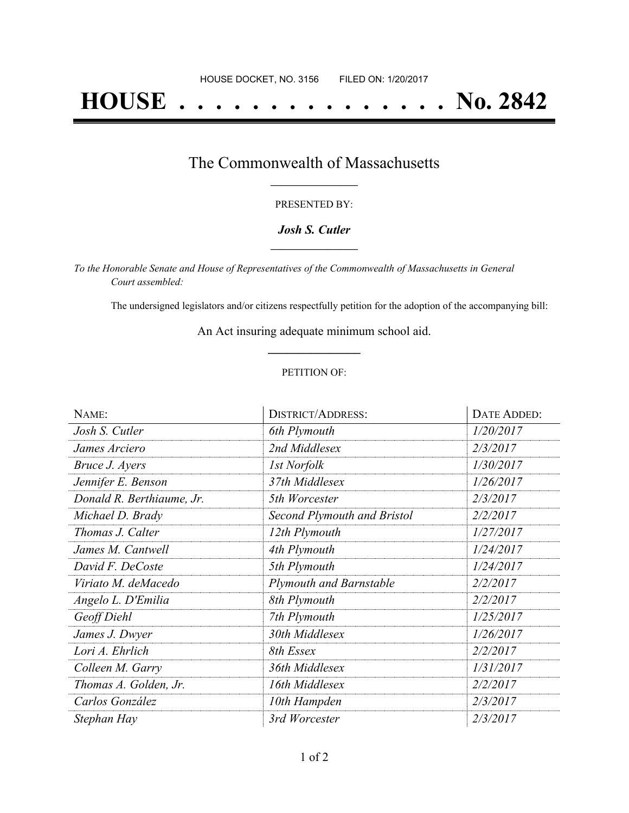# **HOUSE . . . . . . . . . . . . . . . No. 2842**

### The Commonwealth of Massachusetts **\_\_\_\_\_\_\_\_\_\_\_\_\_\_\_\_\_**

#### PRESENTED BY:

#### *Josh S. Cutler* **\_\_\_\_\_\_\_\_\_\_\_\_\_\_\_\_\_**

*To the Honorable Senate and House of Representatives of the Commonwealth of Massachusetts in General Court assembled:*

The undersigned legislators and/or citizens respectfully petition for the adoption of the accompanying bill:

An Act insuring adequate minimum school aid. **\_\_\_\_\_\_\_\_\_\_\_\_\_\_\_**

#### PETITION OF:

| NAME:                     | <b>DISTRICT/ADDRESS:</b>       | <b>DATE ADDED:</b> |
|---------------------------|--------------------------------|--------------------|
| Josh S. Cutler            | 6th Plymouth                   | 1/20/2017          |
| James Arciero             | 2nd Middlesex                  | 2/3/2017           |
| Bruce J. Ayers            | 1st Norfolk                    | 1/30/2017          |
| Jennifer E. Benson        | 37th Middlesex                 | 1/26/2017          |
| Donald R. Berthiaume, Jr. | 5th Worcester                  | 2/3/2017           |
| Michael D. Brady          | Second Plymouth and Bristol    | 2/2/2017           |
| Thomas J. Calter          | 12th Plymouth                  | 1/27/2017          |
| James M. Cantwell         | 4th Plymouth                   | 1/24/2017          |
| David F. DeCoste          | 5th Plymouth                   | 1/24/2017          |
| Viriato M. deMacedo       | <b>Plymouth and Barnstable</b> | 2/2/2017           |
| Angelo L. D'Emilia        | 8th Plymouth                   | 2/2/2017           |
| Geoff Diehl               | 7th Plymouth                   | 1/25/2017          |
| James J. Dwyer            | 30th Middlesex                 | 1/26/2017          |
| Lori A. Ehrlich           | 8th Essex                      | 2/2/2017           |
| Colleen M. Garry          | 36th Middlesex                 | 1/31/2017          |
| Thomas A. Golden, Jr.     | 16th Middlesex                 | 2/2/2017           |
| Carlos González           | 10th Hampden                   | 2/3/2017           |
| Stephan Hay               | 3rd Worcester                  | 2/3/2017           |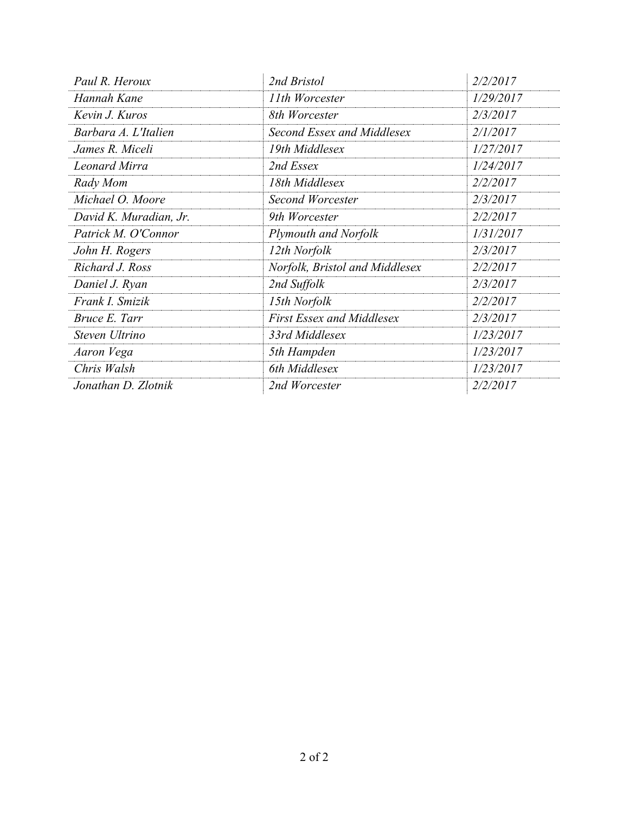| Paul R. Heroux         | 2nd Bristol                      | 2/2/2017  |
|------------------------|----------------------------------|-----------|
| Hannah Kane            | 11th Worcester                   | 1/29/2017 |
| Kevin J. Kuros         | 8th Worcester                    | 2/3/2017  |
| Barbara A. L'Italien   | Second Essex and Middlesex       | 2/1/2017  |
| James R. Miceli        | 19th Middlesex                   | 1/27/2017 |
| <b>Leonard Mirra</b>   | 2nd Essex                        | 1/24/2017 |
| Rady Mom               | 18th Middlesex                   | 2/2/2017  |
| Michael O. Moore       | <b>Second Worcester</b>          | 2/3/2017  |
| David K. Muradian, Jr. | 9th Worcester                    | 2/2/2017  |
| Patrick M. O'Connor    | <b>Plymouth and Norfolk</b>      | 1/31/2017 |
| John H. Rogers         | 12th Norfolk                     | 2/3/2017  |
| Richard J. Ross        | Norfolk, Bristol and Middlesex   | 2/2/2017  |
| Daniel J. Ryan         | 2nd Suffolk                      | 2/3/2017  |
| Frank I. Smizik        | 15th Norfolk                     | 2/2/2017  |
| Bruce E. Tarr          | <b>First Essex and Middlesex</b> | 2/3/2017  |
| Steven Ultrino         | 33rd Middlesex                   | 1/23/2017 |
| Aaron Vega             | 5th Hampden                      | 1/23/2017 |
| Chris Walsh            | 6th Middlesex                    | 1/23/2017 |
| Jonathan D. Zlotnik    | 2nd Worcester                    | 2/2/2017  |